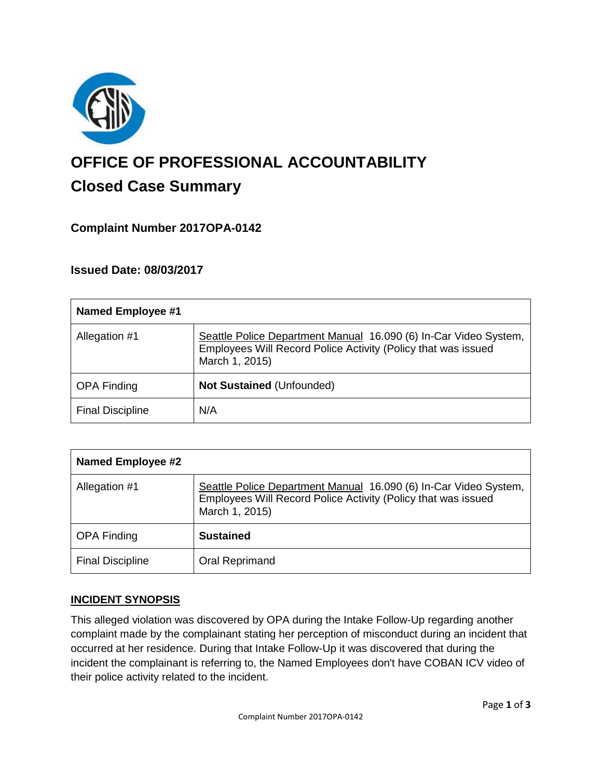

# **OFFICE OF PROFESSIONAL ACCOUNTABILITY Closed Case Summary**

# **Complaint Number 2017OPA-0142**

# **Issued Date: 08/03/2017**

| <b>Named Employee #1</b> |                                                                                                                                                     |
|--------------------------|-----------------------------------------------------------------------------------------------------------------------------------------------------|
| Allegation #1            | Seattle Police Department Manual 16.090 (6) In-Car Video System,<br>Employees Will Record Police Activity (Policy that was issued<br>March 1, 2015) |
| <b>OPA Finding</b>       | Not Sustained (Unfounded)                                                                                                                           |
| <b>Final Discipline</b>  | N/A                                                                                                                                                 |

| <b>Named Employee #2</b> |                                                                                                                                                     |
|--------------------------|-----------------------------------------------------------------------------------------------------------------------------------------------------|
| Allegation #1            | Seattle Police Department Manual 16.090 (6) In-Car Video System,<br>Employees Will Record Police Activity (Policy that was issued<br>March 1, 2015) |
| <b>OPA Finding</b>       | <b>Sustained</b>                                                                                                                                    |
| <b>Final Discipline</b>  | Oral Reprimand                                                                                                                                      |

## **INCIDENT SYNOPSIS**

This alleged violation was discovered by OPA during the Intake Follow-Up regarding another complaint made by the complainant stating her perception of misconduct during an incident that occurred at her residence. During that Intake Follow-Up it was discovered that during the incident the complainant is referring to, the Named Employees don't have COBAN ICV video of their police activity related to the incident.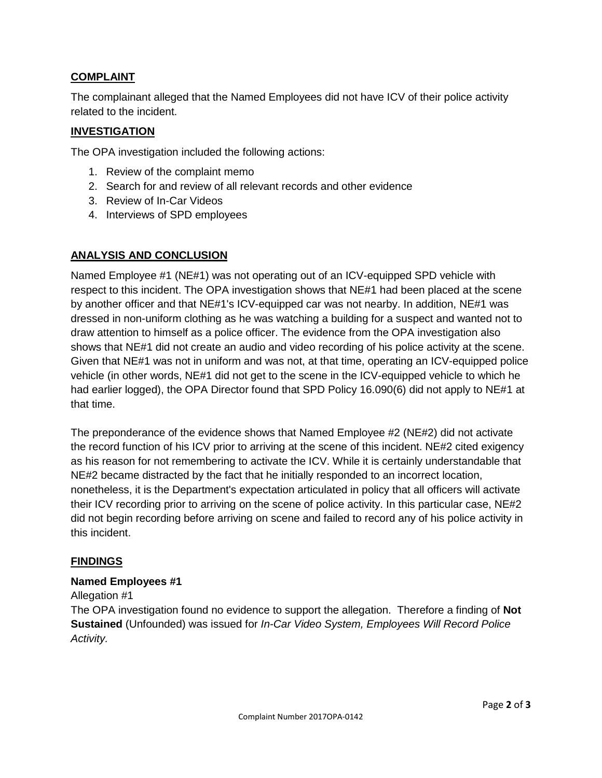## **COMPLAINT**

The complainant alleged that the Named Employees did not have ICV of their police activity related to the incident.

#### **INVESTIGATION**

The OPA investigation included the following actions:

- 1. Review of the complaint memo
- 2. Search for and review of all relevant records and other evidence
- 3. Review of In-Car Videos
- 4. Interviews of SPD employees

### **ANALYSIS AND CONCLUSION**

Named Employee #1 (NE#1) was not operating out of an ICV-equipped SPD vehicle with respect to this incident. The OPA investigation shows that NE#1 had been placed at the scene by another officer and that NE#1's ICV-equipped car was not nearby. In addition, NE#1 was dressed in non-uniform clothing as he was watching a building for a suspect and wanted not to draw attention to himself as a police officer. The evidence from the OPA investigation also shows that NE#1 did not create an audio and video recording of his police activity at the scene. Given that NE#1 was not in uniform and was not, at that time, operating an ICV-equipped police vehicle (in other words, NE#1 did not get to the scene in the ICV-equipped vehicle to which he had earlier logged), the OPA Director found that SPD Policy 16.090(6) did not apply to NE#1 at that time.

The preponderance of the evidence shows that Named Employee #2 (NE#2) did not activate the record function of his ICV prior to arriving at the scene of this incident. NE#2 cited exigency as his reason for not remembering to activate the ICV. While it is certainly understandable that NE#2 became distracted by the fact that he initially responded to an incorrect location, nonetheless, it is the Department's expectation articulated in policy that all officers will activate their ICV recording prior to arriving on the scene of police activity. In this particular case, NE#2 did not begin recording before arriving on scene and failed to record any of his police activity in this incident.

#### **FINDINGS**

#### **Named Employees #1**

Allegation #1

The OPA investigation found no evidence to support the allegation. Therefore a finding of **Not Sustained** (Unfounded) was issued for *In-Car Video System, Employees Will Record Police Activity.*